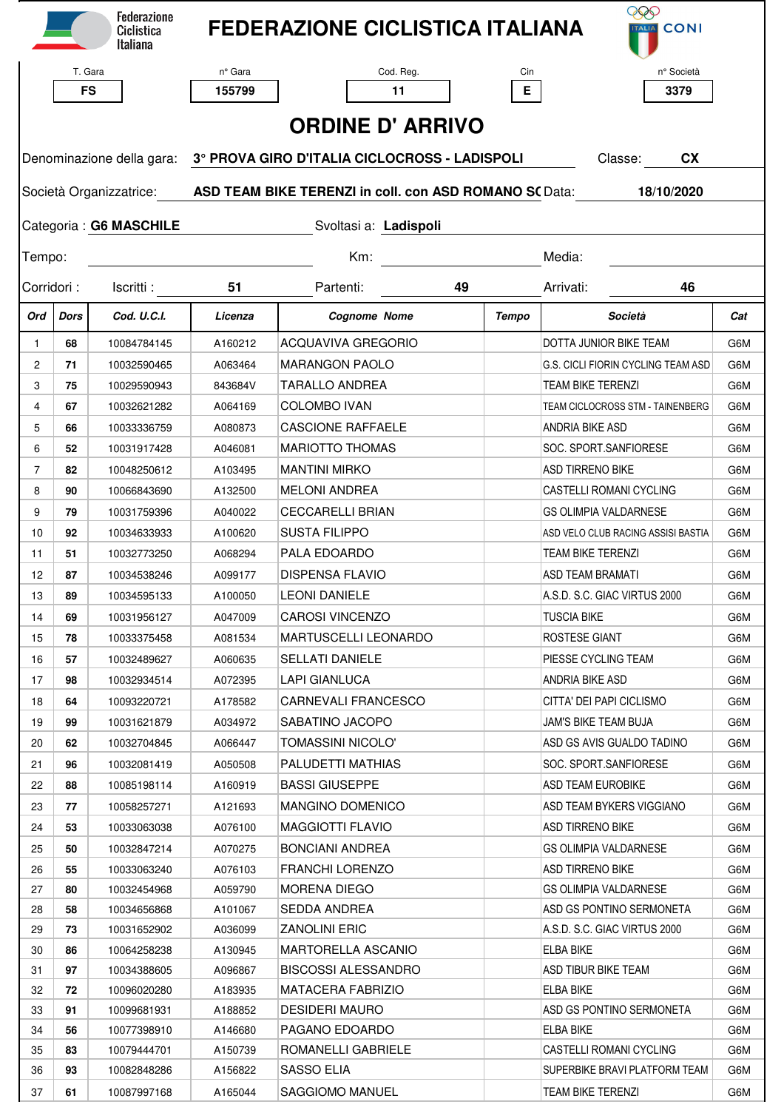|                         |      | <b>Federazione</b><br>Ciclistica<br><b>Italiana</b> |                                                                                                 | <b>FEDERAZIONE CICLISTICA ITALIANA</b> |                 | <b>EEO</b><br><b>ITALIA</b> CONI   |     |  |  |  |  |  |  |
|-------------------------|------|-----------------------------------------------------|-------------------------------------------------------------------------------------------------|----------------------------------------|-----------------|------------------------------------|-----|--|--|--|--|--|--|
|                         |      | T. Gara                                             | n° Gara                                                                                         | Cod. Reg.                              | Cin             | n° Società                         |     |  |  |  |  |  |  |
|                         |      | <b>FS</b>                                           | 155799                                                                                          | 11                                     | E.              | 3379                               |     |  |  |  |  |  |  |
|                         |      |                                                     |                                                                                                 |                                        |                 |                                    |     |  |  |  |  |  |  |
| <b>ORDINE D' ARRIVO</b> |      |                                                     |                                                                                                 |                                        |                 |                                    |     |  |  |  |  |  |  |
|                         |      |                                                     | Denominazione della gara: 3° PROVA GIRO D'ITALIA CICLOCROSS - LADISPOLI<br>Classe:<br><b>CX</b> |                                        |                 |                                    |     |  |  |  |  |  |  |
|                         |      |                                                     | Società Organizzatrice: ASD TEAM BIKE TERENZI in coll. con ASD ROMANO SC Data:<br>18/10/2020    |                                        |                 |                                    |     |  |  |  |  |  |  |
|                         |      | Categoria: G6 MASCHILE                              | Svoltasi a: Ladispoli                                                                           |                                        |                 |                                    |     |  |  |  |  |  |  |
| Tempo:                  |      |                                                     | $Km$ :<br>Media:                                                                                |                                        |                 |                                    |     |  |  |  |  |  |  |
| Corridori:<br>Iscritti: |      | 51<br>Partenti:<br>49                               |                                                                                                 |                                        | Arrivati:<br>46 |                                    |     |  |  |  |  |  |  |
| Ord                     | Dors | Cod. U.C.I.                                         | Licenza                                                                                         | <b>Cognome Nome</b>                    | Tempo           | Società                            | Cat |  |  |  |  |  |  |
| $\mathbf{1}$            | 68   | 10084784145                                         | A160212                                                                                         | ACQUAVIVA GREGORIO                     |                 | DOTTA JUNIOR BIKE TEAM             | G6M |  |  |  |  |  |  |
| $\mathbf{2}$            | 71   | 10032590465                                         | A063464                                                                                         | <b>MARANGON PAOLO</b>                  |                 | G.S. CICLI FIORIN CYCLING TEAM ASD | G6M |  |  |  |  |  |  |
| 3                       | 75   | 10029590943                                         | 843684V                                                                                         | TARALLO ANDREA                         |                 | <b>TEAM BIKE TERENZI</b>           | G6M |  |  |  |  |  |  |
| 4                       | 67   | 10032621282                                         | A064169                                                                                         | <b>COLOMBO IVAN</b>                    |                 | TEAM CICLOCROSS STM - TAINENBERG   | G6M |  |  |  |  |  |  |
| 5                       | 66   | 10033336759                                         | A080873                                                                                         | <b>CASCIONE RAFFAELE</b>               |                 | ANDRIA BIKE ASD                    | G6M |  |  |  |  |  |  |
| 6                       | 52   | 10031917428                                         | A046081                                                                                         | <b>MARIOTTO THOMAS</b>                 |                 | SOC. SPORT.SANFIORESE              | G6M |  |  |  |  |  |  |
| $\overline{7}$          | 82   | 10048250612                                         | A103495                                                                                         | <b>MANTINI MIRKO</b>                   |                 | <b>ASD TIRRENO BIKE</b>            | G6M |  |  |  |  |  |  |
| 8                       | 90   | 10066843690                                         | A132500                                                                                         | <b>MELONI ANDREA</b>                   |                 | CASTELLI ROMANI CYCLING            | G6M |  |  |  |  |  |  |
| 9                       | 79   | 10031759396                                         | A040022                                                                                         | <b>CECCARELLI BRIAN</b>                |                 | <b>GS OLIMPIA VALDARNESE</b>       | G6M |  |  |  |  |  |  |
| 10                      | 92   | 10034633933                                         | A100620                                                                                         | <b>SUSTA FILIPPO</b>                   |                 | ASD VELO CLUB RACING ASSISI BASTIA | G6M |  |  |  |  |  |  |
| 11                      | 51   | 10032773250                                         | A068294                                                                                         | PALA EDOARDO                           |                 | <b>TEAM BIKE TERENZI</b>           | G6M |  |  |  |  |  |  |
| 12                      | 87   | 10034538246                                         | A099177                                                                                         | <b>DISPENSA FLAVIO</b>                 |                 | <b>ASD TEAM BRAMATI</b>            | G6M |  |  |  |  |  |  |
| 13                      | 89   | 10034595133                                         | A100050                                                                                         | <b>LEONI DANIELE</b>                   |                 | A.S.D. S.C. GIAC VIRTUS 2000       | G6M |  |  |  |  |  |  |
| 14                      | 69   | 10031956127                                         | A047009                                                                                         | <b>CAROSI VINCENZO</b>                 |                 | <b>TUSCIA BIKE</b>                 | G6M |  |  |  |  |  |  |
| 15                      | 78   | 10033375458                                         | A081534                                                                                         | <b>MARTUSCELLI LEONARDO</b>            |                 | ROSTESE GIANT                      | G6M |  |  |  |  |  |  |
|                         | 57   | 10032489627                                         | A060635                                                                                         | SELLATI DANIELE                        |                 | PIESSE CYCLING TEAM                | G6M |  |  |  |  |  |  |
| 16<br>17                | 98   | 10032934514                                         | A072395                                                                                         | <b>LAPI GIANLUCA</b>                   |                 | ANDRIA BIKE ASD                    | G6M |  |  |  |  |  |  |
|                         |      |                                                     |                                                                                                 | CARNEVALI FRANCESCO                    |                 | CITTA' DEI PAPI CICLISMO           |     |  |  |  |  |  |  |
| 18                      | 64   | 10093220721                                         | A178582                                                                                         |                                        |                 |                                    | G6M |  |  |  |  |  |  |
| 19                      | 99   | 10031621879                                         | A034972                                                                                         | SABATINO JACOPO                        |                 | JAM'S BIKE TEAM BUJA               | G6M |  |  |  |  |  |  |
| 20                      | 62   | 10032704845                                         | A066447                                                                                         | <b>TOMASSINI NICOLO'</b>               |                 | ASD GS AVIS GUALDO TADINO          | G6M |  |  |  |  |  |  |
| 21                      | 96   | 10032081419                                         | A050508                                                                                         | PALUDETTI MATHIAS                      |                 | SOC. SPORT.SANFIORESE              | G6M |  |  |  |  |  |  |
| 22                      | 88   | 10085198114                                         | A160919                                                                                         | <b>BASSI GIUSEPPE</b>                  |                 | ASD TEAM EUROBIKE                  | G6M |  |  |  |  |  |  |
| 23                      | 77   | 10058257271                                         | A121693                                                                                         | <b>MANGINO DOMENICO</b>                |                 | ASD TEAM BYKERS VIGGIANO           | G6M |  |  |  |  |  |  |
| 24                      | 53   | 10033063038                                         | A076100                                                                                         | <b>MAGGIOTTI FLAVIO</b>                |                 | <b>ASD TIRRENO BIKE</b>            | G6M |  |  |  |  |  |  |
| 25                      | 50   | 10032847214                                         | A070275                                                                                         | BONCIANI ANDREA                        |                 | GS OLIMPIA VALDARNESE              | G6M |  |  |  |  |  |  |
| 26                      | 55   | 10033063240                                         | A076103                                                                                         | <b>FRANCHI LORENZO</b>                 |                 | ASD TIRRENO BIKE                   | G6M |  |  |  |  |  |  |
| 27                      | 80   | 10032454968                                         | A059790                                                                                         | <b>MORENA DIEGO</b>                    |                 | GS OLIMPIA VALDARNESE              | G6M |  |  |  |  |  |  |
| 28                      | 58   | 10034656868                                         | A101067                                                                                         | SEDDA ANDREA                           |                 | ASD GS PONTINO SERMONETA           | G6M |  |  |  |  |  |  |
| 29                      | 73   | 10031652902                                         | A036099                                                                                         | <b>ZANOLINI ERIC</b>                   |                 | A.S.D. S.C. GIAC VIRTUS 2000       | G6M |  |  |  |  |  |  |
| 30                      | 86   | 10064258238                                         | A130945                                                                                         | MARTORELLA ASCANIO                     |                 | <b>ELBA BIKE</b>                   | G6M |  |  |  |  |  |  |
| 31                      | 97   | 10034388605                                         | A096867                                                                                         | <b>BISCOSSI ALESSANDRO</b>             |                 | ASD TIBUR BIKE TEAM                | G6M |  |  |  |  |  |  |
| 32                      | 72   | 10096020280                                         | A183935                                                                                         | <b>MATACERA FABRIZIO</b>               |                 | <b>ELBA BIKE</b>                   | G6M |  |  |  |  |  |  |
| 33                      | 91   | 10099681931                                         | A188852                                                                                         | <b>DESIDERI MAURO</b>                  |                 | ASD GS PONTINO SERMONETA           | G6M |  |  |  |  |  |  |
| 34                      | 56   | 10077398910                                         | A146680                                                                                         | PAGANO EDOARDO                         |                 | ELBA BIKE                          | G6M |  |  |  |  |  |  |
| 35                      | 83   | 10079444701                                         | A150739                                                                                         | ROMANELLI GABRIELE                     |                 | CASTELLI ROMANI CYCLING            | G6M |  |  |  |  |  |  |
| 36                      | 93   | 10082848286                                         | A156822                                                                                         | SASSO ELIA                             |                 | SUPERBIKE BRAVI PLATFORM TEAM      | G6M |  |  |  |  |  |  |
| 37                      | 61   | 10087997168                                         | A165044                                                                                         | SAGGIOMO MANUEL                        |                 | <b>TEAM BIKE TERENZI</b>           | G6M |  |  |  |  |  |  |